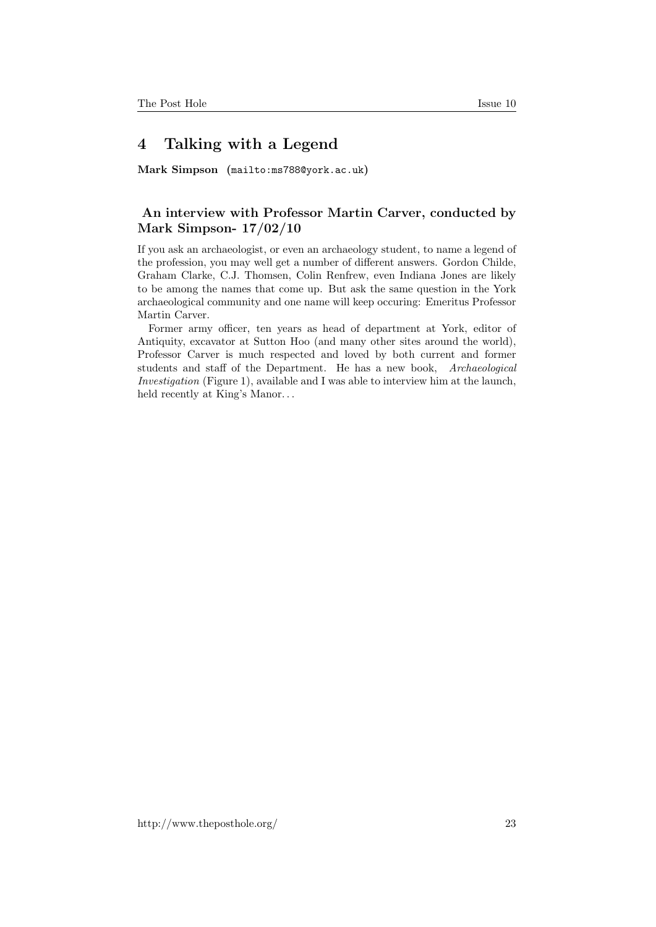## 4 Talking with a Legend

Mark Simpson (<mailto:ms788@york.ac.uk>)

## An interview with Professor Martin Carver, conducted by Mark Simpson- 17/02/10

If you ask an archaeologist, or even an archaeology student, to name a legend of the profession, you may well get a number of different answers. Gordon Childe, Graham Clarke, C.J. Thomsen, Colin Renfrew, even Indiana Jones are likely to be among the names that come up. But ask the same question in the York archaeological community and one name will keep occuring: Emeritus Professor Martin Carver.

Former army officer, ten years as head of department at York, editor of Antiquity, excavator at Sutton Hoo (and many other sites around the world), Professor Carver is much respected and loved by both current and former students and staff of the Department. He has a new book, Archaeological Investigation (Figure 1), available and I was able to interview him at the launch, held recently at King's Manor...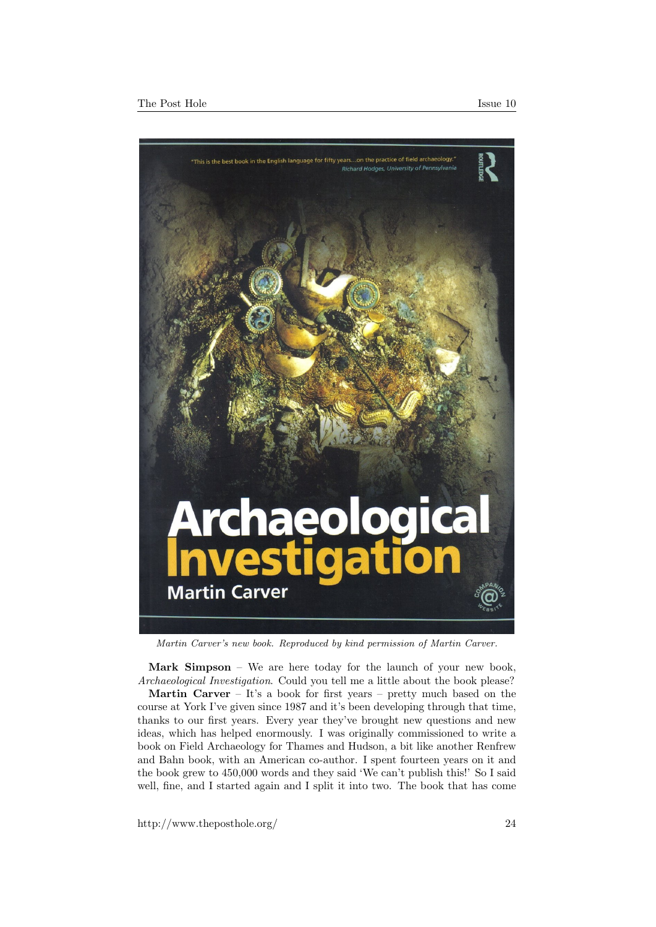

Martin Carver's new book. Reproduced by kind permission of Martin Carver.

Mark Simpson – We are here today for the launch of your new book, Archaeological Investigation. Could you tell me a little about the book please? **Martin Carver** – It's a book for first years – pretty much based on the course at York I've given since 1987 and it's been developing through that time, thanks to our first years. Every year they've brought new questions and new ideas, which has helped enormously. I was originally commissioned to write a book on Field Archaeology for Thames and Hudson, a bit like another Renfrew and Bahn book, with an American co-author. I spent fourteen years on it and the book grew to 450,000 words and they said 'We can't publish this!' So I said well, fine, and I started again and I split it into two. The book that has come

http://www.theposthole.org/ 24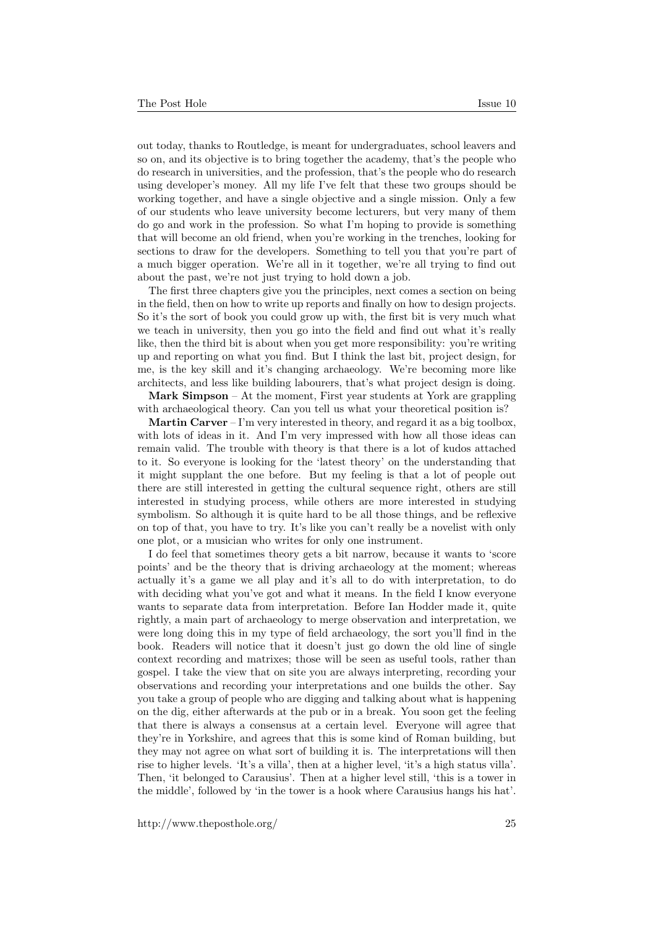out today, thanks to Routledge, is meant for undergraduates, school leavers and so on, and its objective is to bring together the academy, that's the people who do research in universities, and the profession, that's the people who do research using developer's money. All my life I've felt that these two groups should be working together, and have a single objective and a single mission. Only a few of our students who leave university become lecturers, but very many of them do go and work in the profession. So what I'm hoping to provide is something that will become an old friend, when you're working in the trenches, looking for sections to draw for the developers. Something to tell you that you're part of a much bigger operation. We're all in it together, we're all trying to find out about the past, we're not just trying to hold down a job.

The first three chapters give you the principles, next comes a section on being in the field, then on how to write up reports and finally on how to design projects. So it's the sort of book you could grow up with, the first bit is very much what we teach in university, then you go into the field and find out what it's really like, then the third bit is about when you get more responsibility: you're writing up and reporting on what you find. But I think the last bit, project design, for me, is the key skill and it's changing archaeology. We're becoming more like architects, and less like building labourers, that's what project design is doing.

Mark Simpson – At the moment, First year students at York are grappling with archaeological theory. Can you tell us what your theoretical position is?

**Martin Carver** – I'm very interested in theory, and regard it as a big toolbox, with lots of ideas in it. And I'm very impressed with how all those ideas can remain valid. The trouble with theory is that there is a lot of kudos attached to it. So everyone is looking for the 'latest theory' on the understanding that it might supplant the one before. But my feeling is that a lot of people out there are still interested in getting the cultural sequence right, others are still interested in studying process, while others are more interested in studying symbolism. So although it is quite hard to be all those things, and be reflexive on top of that, you have to try. It's like you can't really be a novelist with only one plot, or a musician who writes for only one instrument.

I do feel that sometimes theory gets a bit narrow, because it wants to 'score points' and be the theory that is driving archaeology at the moment; whereas actually it's a game we all play and it's all to do with interpretation, to do with deciding what you've got and what it means. In the field I know everyone wants to separate data from interpretation. Before Ian Hodder made it, quite rightly, a main part of archaeology to merge observation and interpretation, we were long doing this in my type of field archaeology, the sort you'll find in the book. Readers will notice that it doesn't just go down the old line of single context recording and matrixes; those will be seen as useful tools, rather than gospel. I take the view that on site you are always interpreting, recording your observations and recording your interpretations and one builds the other. Say you take a group of people who are digging and talking about what is happening on the dig, either afterwards at the pub or in a break. You soon get the feeling that there is always a consensus at a certain level. Everyone will agree that they're in Yorkshire, and agrees that this is some kind of Roman building, but they may not agree on what sort of building it is. The interpretations will then rise to higher levels. 'It's a villa', then at a higher level, 'it's a high status villa'. Then, 'it belonged to Carausius'. Then at a higher level still, 'this is a tower in the middle', followed by 'in the tower is a hook where Carausius hangs his hat'.

http://www.theposthole.org/ 25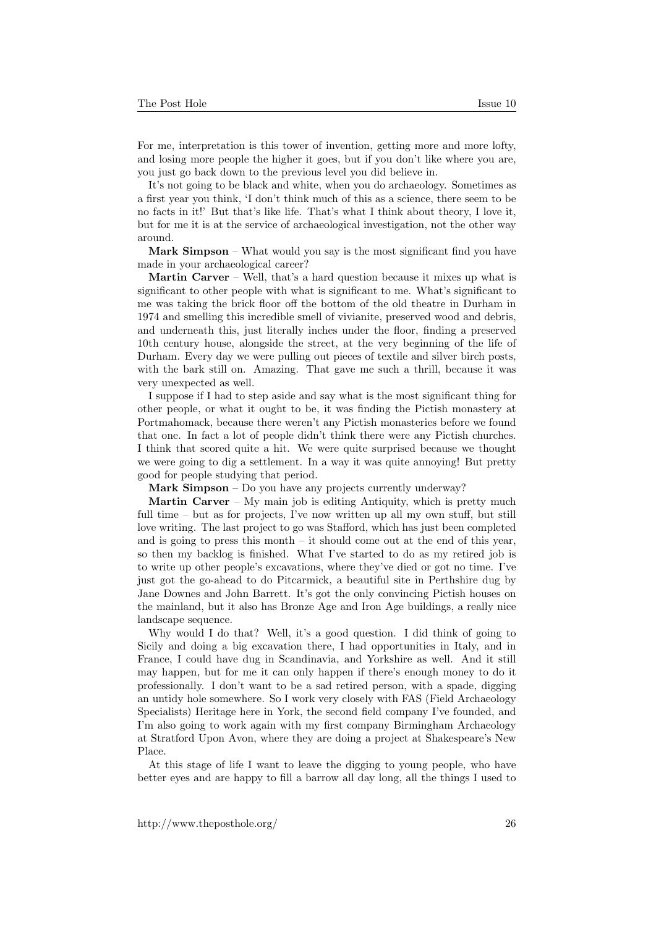For me, interpretation is this tower of invention, getting more and more lofty, and losing more people the higher it goes, but if you don't like where you are, you just go back down to the previous level you did believe in.

It's not going to be black and white, when you do archaeology. Sometimes as a first year you think, 'I don't think much of this as a science, there seem to be no facts in it!' But that's like life. That's what I think about theory, I love it, but for me it is at the service of archaeological investigation, not the other way around.

Mark Simpson – What would you say is the most significant find you have made in your archaeological career?

Martin Carver – Well, that's a hard question because it mixes up what is significant to other people with what is significant to me. What's significant to me was taking the brick floor off the bottom of the old theatre in Durham in 1974 and smelling this incredible smell of vivianite, preserved wood and debris, and underneath this, just literally inches under the floor, finding a preserved 10th century house, alongside the street, at the very beginning of the life of Durham. Every day we were pulling out pieces of textile and silver birch posts, with the bark still on. Amazing. That gave me such a thrill, because it was very unexpected as well.

I suppose if I had to step aside and say what is the most significant thing for other people, or what it ought to be, it was finding the Pictish monastery at Portmahomack, because there weren't any Pictish monasteries before we found that one. In fact a lot of people didn't think there were any Pictish churches. I think that scored quite a hit. We were quite surprised because we thought we were going to dig a settlement. In a way it was quite annoying! But pretty good for people studying that period.

Mark Simpson – Do you have any projects currently underway?

Martin Carver – My main job is editing Antiquity, which is pretty much full time – but as for projects, I've now written up all my own stuff, but still love writing. The last project to go was Stafford, which has just been completed and is going to press this month  $-$  it should come out at the end of this year. so then my backlog is finished. What I've started to do as my retired job is to write up other people's excavations, where they've died or got no time. I've just got the go-ahead to do Pitcarmick, a beautiful site in Perthshire dug by Jane Downes and John Barrett. It's got the only convincing Pictish houses on the mainland, but it also has Bronze Age and Iron Age buildings, a really nice landscape sequence.

Why would I do that? Well, it's a good question. I did think of going to Sicily and doing a big excavation there, I had opportunities in Italy, and in France, I could have dug in Scandinavia, and Yorkshire as well. And it still may happen, but for me it can only happen if there's enough money to do it professionally. I don't want to be a sad retired person, with a spade, digging an untidy hole somewhere. So I work very closely with FAS (Field Archaeology Specialists) Heritage here in York, the second field company I've founded, and I'm also going to work again with my first company Birmingham Archaeology at Stratford Upon Avon, where they are doing a project at Shakespeare's New Place.

At this stage of life I want to leave the digging to young people, who have better eyes and are happy to fill a barrow all day long, all the things I used to